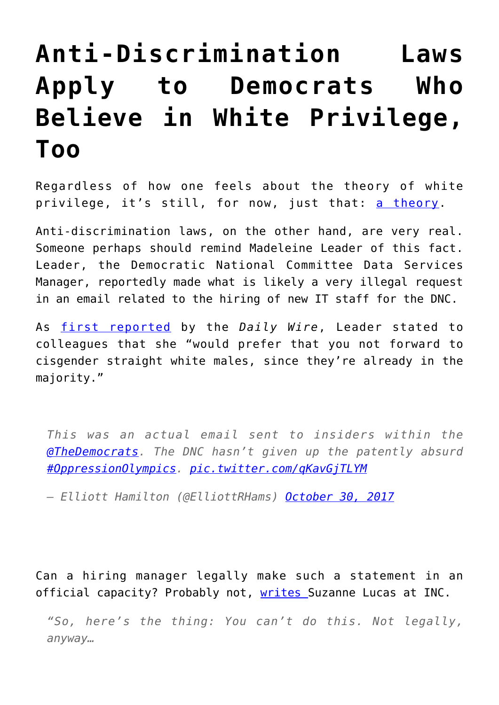## **[Anti-Discrimination Laws](https://intellectualtakeout.org/2017/11/anti-discrimination-laws-apply-to-democrats-who-believe-in-white-privilege-too/) [Apply to Democrats Who](https://intellectualtakeout.org/2017/11/anti-discrimination-laws-apply-to-democrats-who-believe-in-white-privilege-too/) [Believe in White Privilege,](https://intellectualtakeout.org/2017/11/anti-discrimination-laws-apply-to-democrats-who-believe-in-white-privilege-too/) [Too](https://intellectualtakeout.org/2017/11/anti-discrimination-laws-apply-to-democrats-who-believe-in-white-privilege-too/)**

Regardless of how one feels about the theory of white privilege, it's still, for now, just that: [a theory.](https://www.intellectualtakeout.org/blog/dear-educators-privilege-theory-not-fact)

Anti-discrimination laws, on the other hand, are very real. Someone perhaps should remind Madeleine Leader of this fact. Leader, the Democratic National Committee Data Services Manager, reportedly made what is likely a very illegal request in an email related to the hiring of new IT staff for the DNC.

As [first reported](http://www.dailywire.com/news/22939/exclusive-dnc-official-discriminates-against-elliott-hamilton#exit-modal) by the *Daily Wire*, Leader stated to colleagues that she "would prefer that you not forward to cisgender straight white males, since they're already in the majority."

*This was an actual email sent to insiders within the [@TheDemocrats.](https://twitter.com/TheDemocrats?ref_src=twsrc%5Etfw) The DNC hasn't given up the patently absurd [#OppressionOlympics](https://twitter.com/hashtag/OppressionOlympics?src=hash&ref_src=twsrc%5Etfw). [pic.twitter.com/qKavGjTLYM](https://t.co/qKavGjTLYM)*

*— Elliott Hamilton (@ElliottRHams) [October 30, 2017](https://twitter.com/ElliottRHams/status/925081835704586240?ref_src=twsrc%5Etfw)*

Can a hiring manager legally make such a statement in an official capacity? Probably not, [writes S](https://www.inc.com/suzanne-lucas/cisgender-straight-white-males-need-not-apply.html)uzanne Lucas at INC.

*"So, here's the thing: You can't do this. Not legally, anyway…*